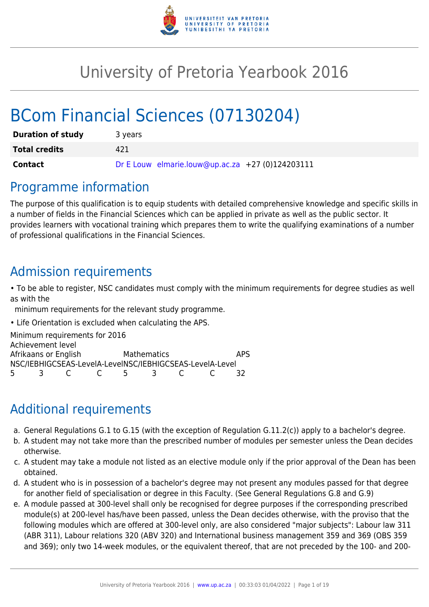

# University of Pretoria Yearbook 2016

# BCom Financial Sciences (07130204)

| <b>Duration of study</b> | 3 years                                          |
|--------------------------|--------------------------------------------------|
| <b>Total credits</b>     | 421                                              |
| Contact                  | Dr E Louw elmarie.louw@up.ac.za +27 (0)124203111 |

### Programme information

The purpose of this qualification is to equip students with detailed comprehensive knowledge and specific skills in a number of fields in the Financial Sciences which can be applied in private as well as the public sector. It provides learners with vocational training which prepares them to write the qualifying examinations of a number of professional qualifications in the Financial Sciences.

### Admission requirements

• To be able to register, NSC candidates must comply with the minimum requirements for degree studies as well as with the

minimum requirements for the relevant study programme.

• Life Orientation is excluded when calculating the APS.

Minimum requirements for 2016 Achievement level Afrikaans or English Mathematics APS NSC/IEBHIGCSEAS-LevelA-LevelNSC/IEBHIGCSEAS-LevelA-Level 5 3 C C 5 3 C C 32

# Additional requirements

- a. General Regulations G.1 to G.15 (with the exception of Regulation G.11.2(c)) apply to a bachelor's degree.
- b. A student may not take more than the prescribed number of modules per semester unless the Dean decides otherwise.
- c. A student may take a module not listed as an elective module only if the prior approval of the Dean has been obtained.
- d. A student who is in possession of a bachelor's degree may not present any modules passed for that degree for another field of specialisation or degree in this Faculty. (See General Regulations G.8 and G.9)
- e. A module passed at 300-level shall only be recognised for degree purposes if the corresponding prescribed module(s) at 200-level has/have been passed, unless the Dean decides otherwise, with the proviso that the following modules which are offered at 300-level only, are also considered "major subjects": Labour law 311 (ABR 311), Labour relations 320 (ABV 320) and International business management 359 and 369 (OBS 359 and 369); only two 14-week modules, or the equivalent thereof, that are not preceded by the 100- and 200-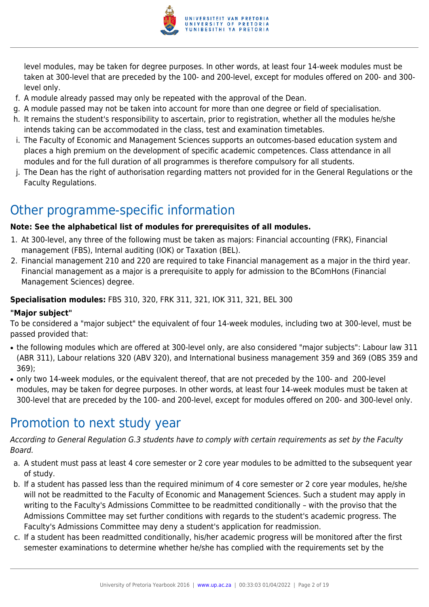

level modules, may be taken for degree purposes. In other words, at least four 14-week modules must be taken at 300-level that are preceded by the 100- and 200-level, except for modules offered on 200- and 300 level only.

- f. A module already passed may only be repeated with the approval of the Dean.
- g. A module passed may not be taken into account for more than one degree or field of specialisation.
- h. It remains the student's responsibility to ascertain, prior to registration, whether all the modules he/she intends taking can be accommodated in the class, test and examination timetables.
- i. The Faculty of Economic and Management Sciences supports an outcomes-based education system and places a high premium on the development of specific academic competences. Class attendance in all modules and for the full duration of all programmes is therefore compulsory for all students.
- j. The Dean has the right of authorisation regarding matters not provided for in the General Regulations or the Faculty Regulations.

# Other programme-specific information

#### **Note: See the alphabetical list of modules for prerequisites of all modules.**

- 1. At 300-level, any three of the following must be taken as majors: Financial accounting (FRK), Financial management (FBS), Internal auditing (IOK) or Taxation (BEL).
- 2. Financial management 210 and 220 are required to take Financial management as a major in the third year. Financial management as a major is a prerequisite to apply for admission to the BComHons (Financial Management Sciences) degree.

#### **Specialisation modules:** FBS 310, 320, FRK 311, 321, IOK 311, 321, BEL 300

#### **"Major subject"**

To be considered a "major subject" the equivalent of four 14-week modules, including two at 300-level, must be passed provided that:

- the following modules which are offered at 300-level only, are also considered "major subjects": Labour law 311 (ABR 311), Labour relations 320 (ABV 320), and International business management 359 and 369 (OBS 359 and 369);
- only two 14-week modules, or the equivalent thereof, that are not preceded by the 100- and 200-level modules, may be taken for degree purposes. In other words, at least four 14-week modules must be taken at 300-level that are preceded by the 100- and 200-level, except for modules offered on 200- and 300-level only.

## Promotion to next study year

According to General Regulation G.3 students have to comply with certain requirements as set by the Faculty Board.

- a. A student must pass at least 4 core semester or 2 core year modules to be admitted to the subsequent year of study.
- b. If a student has passed less than the required minimum of 4 core semester or 2 core year modules, he/she will not be readmitted to the Faculty of Economic and Management Sciences. Such a student may apply in writing to the Faculty's Admissions Committee to be readmitted conditionally – with the proviso that the Admissions Committee may set further conditions with regards to the student's academic progress. The Faculty's Admissions Committee may deny a student's application for readmission.
- c. If a student has been readmitted conditionally, his/her academic progress will be monitored after the first semester examinations to determine whether he/she has complied with the requirements set by the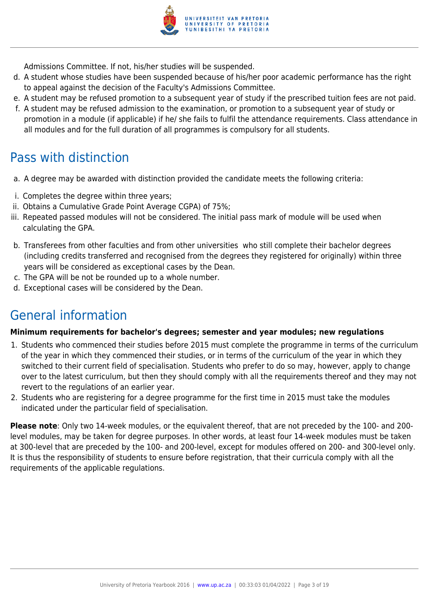

Admissions Committee. If not, his/her studies will be suspended.

- d. A student whose studies have been suspended because of his/her poor academic performance has the right to appeal against the decision of the Faculty's Admissions Committee.
- e. A student may be refused promotion to a subsequent year of study if the prescribed tuition fees are not paid.
- f. A student may be refused admission to the examination, or promotion to a subsequent year of study or promotion in a module (if applicable) if he/ she fails to fulfil the attendance requirements. Class attendance in all modules and for the full duration of all programmes is compulsory for all students.

### Pass with distinction

- a. A degree may be awarded with distinction provided the candidate meets the following criteria:
- i. Completes the degree within three years;
- ii. Obtains a Cumulative Grade Point Average CGPA) of 75%;
- iii. Repeated passed modules will not be considered. The initial pass mark of module will be used when calculating the GPA.
- b. Transferees from other faculties and from other universities who still complete their bachelor degrees (including credits transferred and recognised from the degrees they registered for originally) within three years will be considered as exceptional cases by the Dean.
- c. The GPA will be not be rounded up to a whole number.
- d. Exceptional cases will be considered by the Dean.

### General information

#### **Minimum requirements for bachelor's degrees; semester and year modules; new regulations**

- 1. Students who commenced their studies before 2015 must complete the programme in terms of the curriculum of the year in which they commenced their studies, or in terms of the curriculum of the year in which they switched to their current field of specialisation. Students who prefer to do so may, however, apply to change over to the latest curriculum, but then they should comply with all the requirements thereof and they may not revert to the regulations of an earlier year.
- 2. Students who are registering for a degree programme for the first time in 2015 must take the modules indicated under the particular field of specialisation.

**Please note**: Only two 14-week modules, or the equivalent thereof, that are not preceded by the 100- and 200 level modules, may be taken for degree purposes. In other words, at least four 14-week modules must be taken at 300-level that are preceded by the 100- and 200-level, except for modules offered on 200- and 300-level only. It is thus the responsibility of students to ensure before registration, that their curricula comply with all the requirements of the applicable regulations.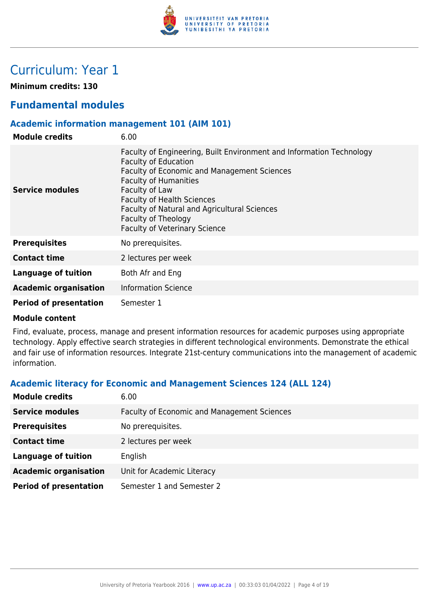

## Curriculum: Year 1

**Minimum credits: 130**

### **Fundamental modules**

#### **Academic information management 101 (AIM 101)**

| <b>Module credits</b>         | 6.00                                                                                                                                                                                                                                                                                                                                                     |
|-------------------------------|----------------------------------------------------------------------------------------------------------------------------------------------------------------------------------------------------------------------------------------------------------------------------------------------------------------------------------------------------------|
| Service modules               | Faculty of Engineering, Built Environment and Information Technology<br><b>Faculty of Education</b><br>Faculty of Economic and Management Sciences<br><b>Faculty of Humanities</b><br>Faculty of Law<br><b>Faculty of Health Sciences</b><br>Faculty of Natural and Agricultural Sciences<br>Faculty of Theology<br><b>Faculty of Veterinary Science</b> |
| <b>Prerequisites</b>          | No prerequisites.                                                                                                                                                                                                                                                                                                                                        |
| <b>Contact time</b>           | 2 lectures per week                                                                                                                                                                                                                                                                                                                                      |
| Language of tuition           | Both Afr and Eng                                                                                                                                                                                                                                                                                                                                         |
| <b>Academic organisation</b>  | <b>Information Science</b>                                                                                                                                                                                                                                                                                                                               |
| <b>Period of presentation</b> | Semester 1                                                                                                                                                                                                                                                                                                                                               |

#### **Module content**

Find, evaluate, process, manage and present information resources for academic purposes using appropriate technology. Apply effective search strategies in different technological environments. Demonstrate the ethical and fair use of information resources. Integrate 21st-century communications into the management of academic information.

#### **Academic literacy for Economic and Management Sciences 124 (ALL 124)**

| <b>Module credits</b>         | 6.00                                               |
|-------------------------------|----------------------------------------------------|
| <b>Service modules</b>        | <b>Faculty of Economic and Management Sciences</b> |
| <b>Prerequisites</b>          | No prerequisites.                                  |
| <b>Contact time</b>           | 2 lectures per week                                |
| <b>Language of tuition</b>    | English                                            |
| <b>Academic organisation</b>  | Unit for Academic Literacy                         |
| <b>Period of presentation</b> | Semester 1 and Semester 2                          |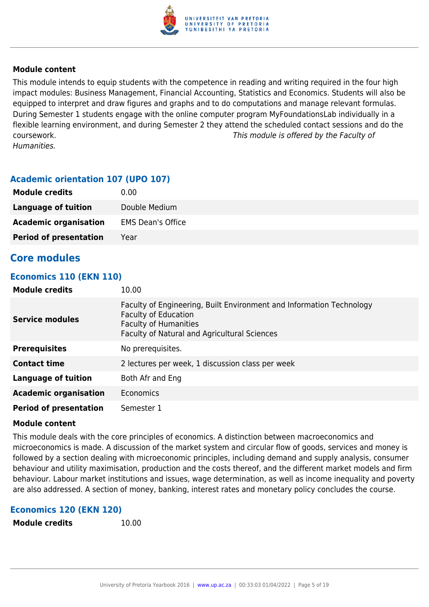

This module intends to equip students with the competence in reading and writing required in the four high impact modules: Business Management, Financial Accounting, Statistics and Economics. Students will also be equipped to interpret and draw figures and graphs and to do computations and manage relevant formulas. During Semester 1 students engage with the online computer program MyFoundationsLab individually in a flexible learning environment, and during Semester 2 they attend the scheduled contact sessions and do the coursework. This module is offered by the Faculty of Humanities.

#### **Academic orientation 107 (UPO 107)**

| <b>Module credits</b>         | 0.00                     |
|-------------------------------|--------------------------|
| Language of tuition           | Double Medium            |
| <b>Academic organisation</b>  | <b>EMS Dean's Office</b> |
| <b>Period of presentation</b> | Year                     |

#### **Core modules**

#### **Economics 110 (EKN 110)**

| <b>Module credits</b>         | 10.00                                                                                                                                                                                      |
|-------------------------------|--------------------------------------------------------------------------------------------------------------------------------------------------------------------------------------------|
| <b>Service modules</b>        | Faculty of Engineering, Built Environment and Information Technology<br><b>Faculty of Education</b><br><b>Faculty of Humanities</b><br><b>Faculty of Natural and Agricultural Sciences</b> |
| <b>Prerequisites</b>          | No prerequisites.                                                                                                                                                                          |
| <b>Contact time</b>           | 2 lectures per week, 1 discussion class per week                                                                                                                                           |
| Language of tuition           | Both Afr and Eng                                                                                                                                                                           |
| <b>Academic organisation</b>  | Economics                                                                                                                                                                                  |
| <b>Period of presentation</b> | Semester 1                                                                                                                                                                                 |

#### **Module content**

This module deals with the core principles of economics. A distinction between macroeconomics and microeconomics is made. A discussion of the market system and circular flow of goods, services and money is followed by a section dealing with microeconomic principles, including demand and supply analysis, consumer behaviour and utility maximisation, production and the costs thereof, and the different market models and firm behaviour. Labour market institutions and issues, wage determination, as well as income inequality and poverty are also addressed. A section of money, banking, interest rates and monetary policy concludes the course.

#### **Economics 120 (EKN 120)**

```
Module credits 10.00
```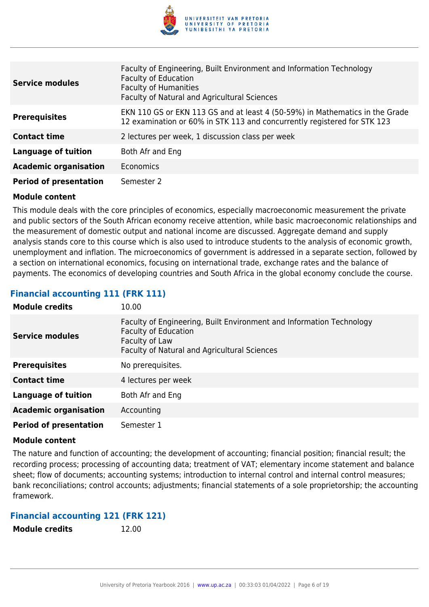

| <b>Service modules</b>        | Faculty of Engineering, Built Environment and Information Technology<br><b>Faculty of Education</b><br><b>Faculty of Humanities</b><br>Faculty of Natural and Agricultural Sciences |
|-------------------------------|-------------------------------------------------------------------------------------------------------------------------------------------------------------------------------------|
| <b>Prerequisites</b>          | EKN 110 GS or EKN 113 GS and at least 4 (50-59%) in Mathematics in the Grade<br>12 examination or 60% in STK 113 and concurrently registered for STK 123                            |
| <b>Contact time</b>           | 2 lectures per week, 1 discussion class per week                                                                                                                                    |
| <b>Language of tuition</b>    | Both Afr and Eng                                                                                                                                                                    |
| <b>Academic organisation</b>  | <b>Economics</b>                                                                                                                                                                    |
| <b>Period of presentation</b> | Semester 2                                                                                                                                                                          |

This module deals with the core principles of economics, especially macroeconomic measurement the private and public sectors of the South African economy receive attention, while basic macroeconomic relationships and the measurement of domestic output and national income are discussed. Aggregate demand and supply analysis stands core to this course which is also used to introduce students to the analysis of economic growth, unemployment and inflation. The microeconomics of government is addressed in a separate section, followed by a section on international economics, focusing on international trade, exchange rates and the balance of payments. The economics of developing countries and South Africa in the global economy conclude the course.

#### **Financial accounting 111 (FRK 111)**

| <b>Module credits</b>         | 10.00                                                                                                                                                                 |
|-------------------------------|-----------------------------------------------------------------------------------------------------------------------------------------------------------------------|
| <b>Service modules</b>        | Faculty of Engineering, Built Environment and Information Technology<br><b>Faculty of Education</b><br>Faculty of Law<br>Faculty of Natural and Agricultural Sciences |
| <b>Prerequisites</b>          | No prerequisites.                                                                                                                                                     |
| <b>Contact time</b>           | 4 lectures per week                                                                                                                                                   |
| <b>Language of tuition</b>    | Both Afr and Eng                                                                                                                                                      |
| <b>Academic organisation</b>  | Accounting                                                                                                                                                            |
| <b>Period of presentation</b> | Semester 1                                                                                                                                                            |

#### **Module content**

The nature and function of accounting; the development of accounting; financial position; financial result; the recording process; processing of accounting data; treatment of VAT; elementary income statement and balance sheet; flow of documents; accounting systems; introduction to internal control and internal control measures; bank reconciliations; control accounts; adjustments; financial statements of a sole proprietorship; the accounting framework.

#### **Financial accounting 121 (FRK 121)**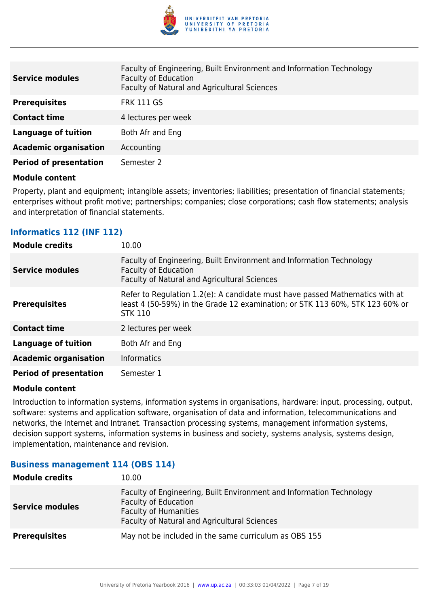

| <b>Service modules</b>        | Faculty of Engineering, Built Environment and Information Technology<br><b>Faculty of Education</b><br>Faculty of Natural and Agricultural Sciences |
|-------------------------------|-----------------------------------------------------------------------------------------------------------------------------------------------------|
| <b>Prerequisites</b>          | <b>FRK 111 GS</b>                                                                                                                                   |
| <b>Contact time</b>           | 4 lectures per week                                                                                                                                 |
| <b>Language of tuition</b>    | Both Afr and Eng                                                                                                                                    |
| <b>Academic organisation</b>  | Accounting                                                                                                                                          |
| <b>Period of presentation</b> | Semester 2                                                                                                                                          |

Property, plant and equipment; intangible assets; inventories; liabilities; presentation of financial statements; enterprises without profit motive; partnerships; companies; close corporations; cash flow statements; analysis and interpretation of financial statements.

#### **Informatics 112 (INF 112)**

| <b>Module credits</b>         | 10.00                                                                                                                                                                          |
|-------------------------------|--------------------------------------------------------------------------------------------------------------------------------------------------------------------------------|
| <b>Service modules</b>        | Faculty of Engineering, Built Environment and Information Technology<br><b>Faculty of Education</b><br>Faculty of Natural and Agricultural Sciences                            |
| <b>Prerequisites</b>          | Refer to Regulation 1.2(e): A candidate must have passed Mathematics with at<br>least 4 (50-59%) in the Grade 12 examination; or STK 113 60%, STK 123 60% or<br><b>STK 110</b> |
| <b>Contact time</b>           | 2 lectures per week                                                                                                                                                            |
| Language of tuition           | Both Afr and Eng                                                                                                                                                               |
| <b>Academic organisation</b>  | <b>Informatics</b>                                                                                                                                                             |
| <b>Period of presentation</b> | Semester 1                                                                                                                                                                     |

#### **Module content**

Introduction to information systems, information systems in organisations, hardware: input, processing, output, software: systems and application software, organisation of data and information, telecommunications and networks, the Internet and Intranet. Transaction processing systems, management information systems, decision support systems, information systems in business and society, systems analysis, systems design, implementation, maintenance and revision.

#### **Business management 114 (OBS 114)**

| <b>Module credits</b>  | 10.00                                                                                                                                                                               |
|------------------------|-------------------------------------------------------------------------------------------------------------------------------------------------------------------------------------|
| <b>Service modules</b> | Faculty of Engineering, Built Environment and Information Technology<br><b>Faculty of Education</b><br><b>Faculty of Humanities</b><br>Faculty of Natural and Agricultural Sciences |
| <b>Prerequisites</b>   | May not be included in the same curriculum as OBS 155                                                                                                                               |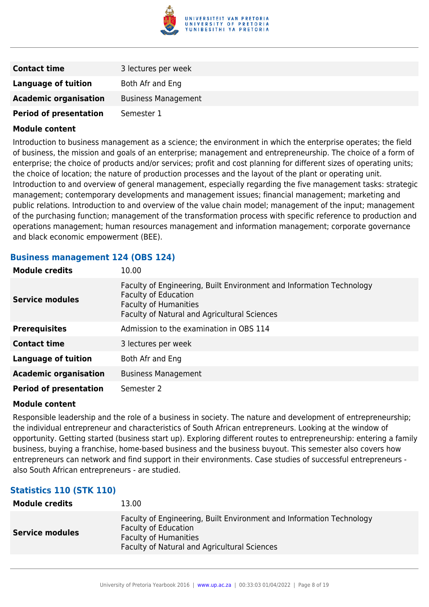

| <b>Contact time</b>           | 3 lectures per week        |
|-------------------------------|----------------------------|
| <b>Language of tuition</b>    | Both Afr and Eng           |
| <b>Academic organisation</b>  | <b>Business Management</b> |
| <b>Period of presentation</b> | Semester 1                 |

Introduction to business management as a science; the environment in which the enterprise operates; the field of business, the mission and goals of an enterprise; management and entrepreneurship. The choice of a form of enterprise; the choice of products and/or services; profit and cost planning for different sizes of operating units; the choice of location; the nature of production processes and the layout of the plant or operating unit. Introduction to and overview of general management, especially regarding the five management tasks: strategic management; contemporary developments and management issues; financial management; marketing and public relations. Introduction to and overview of the value chain model; management of the input; management of the purchasing function; management of the transformation process with specific reference to production and operations management; human resources management and information management; corporate governance and black economic empowerment (BEE).

#### **Business management 124 (OBS 124)**

| <b>Module credits</b>         | 10.00                                                                                                                                                                               |
|-------------------------------|-------------------------------------------------------------------------------------------------------------------------------------------------------------------------------------|
| <b>Service modules</b>        | Faculty of Engineering, Built Environment and Information Technology<br><b>Faculty of Education</b><br><b>Faculty of Humanities</b><br>Faculty of Natural and Agricultural Sciences |
| <b>Prerequisites</b>          | Admission to the examination in OBS 114                                                                                                                                             |
| <b>Contact time</b>           | 3 lectures per week                                                                                                                                                                 |
| <b>Language of tuition</b>    | Both Afr and Eng                                                                                                                                                                    |
| <b>Academic organisation</b>  | <b>Business Management</b>                                                                                                                                                          |
| <b>Period of presentation</b> | Semester 2                                                                                                                                                                          |

#### **Module content**

Responsible leadership and the role of a business in society. The nature and development of entrepreneurship; the individual entrepreneur and characteristics of South African entrepreneurs. Looking at the window of opportunity. Getting started (business start up). Exploring different routes to entrepreneurship: entering a family business, buying a franchise, home-based business and the business buyout. This semester also covers how entrepreneurs can network and find support in their environments. Case studies of successful entrepreneurs also South African entrepreneurs - are studied.

#### **Statistics 110 (STK 110)**

| <b>Module credits</b>  | 13.00                                                                                                                                                                        |
|------------------------|------------------------------------------------------------------------------------------------------------------------------------------------------------------------------|
| <b>Service modules</b> | Faculty of Engineering, Built Environment and Information Technology<br><b>Faculty of Education</b><br>Faculty of Humanities<br>Faculty of Natural and Agricultural Sciences |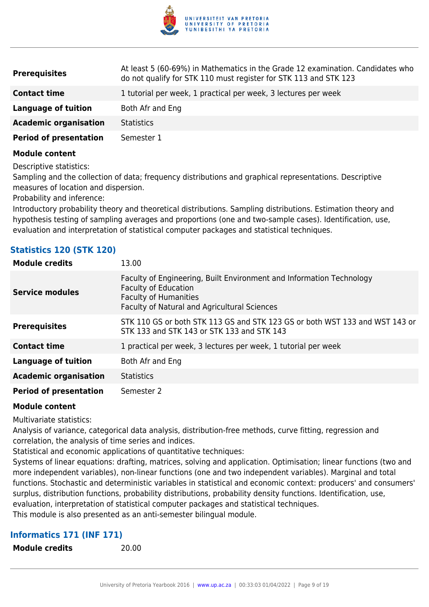

| <b>Prerequisites</b>          | At least 5 (60-69%) in Mathematics in the Grade 12 examination. Candidates who<br>do not qualify for STK 110 must register for STK 113 and STK 123 |
|-------------------------------|----------------------------------------------------------------------------------------------------------------------------------------------------|
| <b>Contact time</b>           | 1 tutorial per week, 1 practical per week, 3 lectures per week                                                                                     |
| Language of tuition           | Both Afr and Eng                                                                                                                                   |
| <b>Academic organisation</b>  | <b>Statistics</b>                                                                                                                                  |
| <b>Period of presentation</b> | Semester 1                                                                                                                                         |
|                               |                                                                                                                                                    |

Descriptive statistics:

Sampling and the collection of data; frequency distributions and graphical representations. Descriptive measures of location and dispersion.

Probability and inference:

Introductory probability theory and theoretical distributions. Sampling distributions. Estimation theory and hypothesis testing of sampling averages and proportions (one and two-sample cases). Identification, use, evaluation and interpretation of statistical computer packages and statistical techniques.

#### **Statistics 120 (STK 120)**

| <b>Module credits</b>         | 13.00                                                                                                                                                                               |
|-------------------------------|-------------------------------------------------------------------------------------------------------------------------------------------------------------------------------------|
| <b>Service modules</b>        | Faculty of Engineering, Built Environment and Information Technology<br><b>Faculty of Education</b><br><b>Faculty of Humanities</b><br>Faculty of Natural and Agricultural Sciences |
| <b>Prerequisites</b>          | STK 110 GS or both STK 113 GS and STK 123 GS or both WST 133 and WST 143 or<br>STK 133 and STK 143 or STK 133 and STK 143                                                           |
| <b>Contact time</b>           | 1 practical per week, 3 lectures per week, 1 tutorial per week                                                                                                                      |
| <b>Language of tuition</b>    | Both Afr and Eng                                                                                                                                                                    |
| <b>Academic organisation</b>  | <b>Statistics</b>                                                                                                                                                                   |
| <b>Period of presentation</b> | Semester 2                                                                                                                                                                          |

#### **Module content**

Multivariate statistics:

Analysis of variance, categorical data analysis, distribution-free methods, curve fitting, regression and correlation, the analysis of time series and indices.

Statistical and economic applications of quantitative techniques:

Systems of linear equations: drafting, matrices, solving and application. Optimisation; linear functions (two and more independent variables), non-linear functions (one and two independent variables). Marginal and total functions. Stochastic and deterministic variables in statistical and economic context: producers' and consumers' surplus, distribution functions, probability distributions, probability density functions. Identification, use, evaluation, interpretation of statistical computer packages and statistical techniques. This module is also presented as an anti-semester bilingual module.

#### **Informatics 171 (INF 171)**

**Module credits** 20.00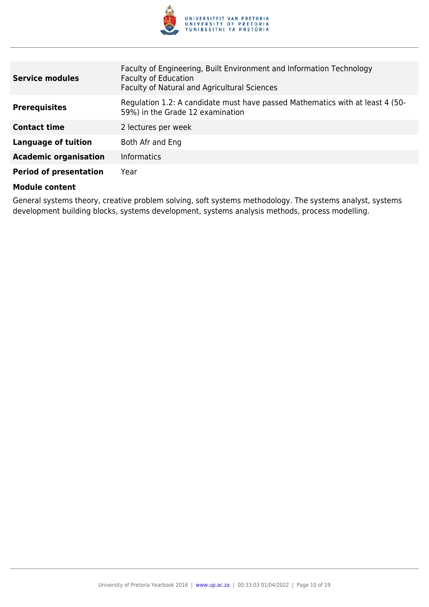

| <b>Service modules</b>        | Faculty of Engineering, Built Environment and Information Technology<br><b>Faculty of Education</b><br>Faculty of Natural and Agricultural Sciences |
|-------------------------------|-----------------------------------------------------------------------------------------------------------------------------------------------------|
| <b>Prerequisites</b>          | Regulation 1.2: A candidate must have passed Mathematics with at least 4 (50-<br>59%) in the Grade 12 examination                                   |
| <b>Contact time</b>           | 2 lectures per week                                                                                                                                 |
| <b>Language of tuition</b>    | Both Afr and Eng                                                                                                                                    |
| <b>Academic organisation</b>  | <b>Informatics</b>                                                                                                                                  |
| <b>Period of presentation</b> | Year                                                                                                                                                |

General systems theory, creative problem solving, soft systems methodology. The systems analyst, systems development building blocks, systems development, systems analysis methods, process modelling.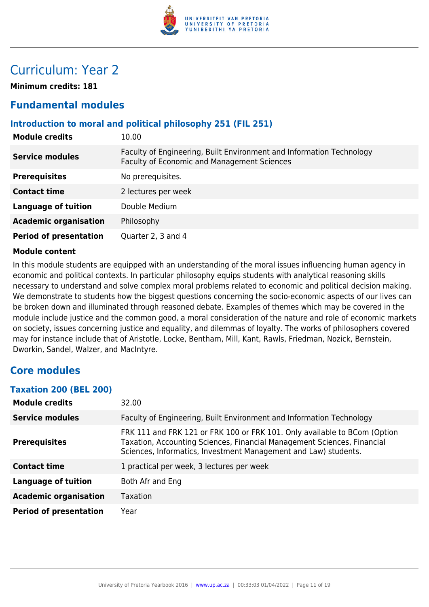

### Curriculum: Year 2

**Minimum credits: 181**

### **Fundamental modules**

#### **Introduction to moral and political philosophy 251 (FIL 251)**

| <b>Module credits</b>         | 10.00                                                                                                               |
|-------------------------------|---------------------------------------------------------------------------------------------------------------------|
| <b>Service modules</b>        | Faculty of Engineering, Built Environment and Information Technology<br>Faculty of Economic and Management Sciences |
| <b>Prerequisites</b>          | No prerequisites.                                                                                                   |
| <b>Contact time</b>           | 2 lectures per week                                                                                                 |
| <b>Language of tuition</b>    | Double Medium                                                                                                       |
| <b>Academic organisation</b>  | Philosophy                                                                                                          |
| <b>Period of presentation</b> | Quarter 2, 3 and 4                                                                                                  |

#### **Module content**

In this module students are equipped with an understanding of the moral issues influencing human agency in economic and political contexts. In particular philosophy equips students with analytical reasoning skills necessary to understand and solve complex moral problems related to economic and political decision making. We demonstrate to students how the biggest questions concerning the socio-economic aspects of our lives can be broken down and illuminated through reasoned debate. Examples of themes which may be covered in the module include justice and the common good, a moral consideration of the nature and role of economic markets on society, issues concerning justice and equality, and dilemmas of loyalty. The works of philosophers covered may for instance include that of Aristotle, Locke, Bentham, Mill, Kant, Rawls, Friedman, Nozick, Bernstein, Dworkin, Sandel, Walzer, and MacIntyre.

### **Core modules**

#### **Taxation 200 (BEL 200)**

| <b>Module credits</b>         | 32.00                                                                                                                                                                                                                   |
|-------------------------------|-------------------------------------------------------------------------------------------------------------------------------------------------------------------------------------------------------------------------|
| <b>Service modules</b>        | Faculty of Engineering, Built Environment and Information Technology                                                                                                                                                    |
| <b>Prerequisites</b>          | FRK 111 and FRK 121 or FRK 100 or FRK 101. Only available to BCom (Option<br>Taxation, Accounting Sciences, Financial Management Sciences, Financial<br>Sciences, Informatics, Investment Management and Law) students. |
| <b>Contact time</b>           | 1 practical per week, 3 lectures per week                                                                                                                                                                               |
| <b>Language of tuition</b>    | Both Afr and Eng                                                                                                                                                                                                        |
| <b>Academic organisation</b>  | Taxation                                                                                                                                                                                                                |
| <b>Period of presentation</b> | Year                                                                                                                                                                                                                    |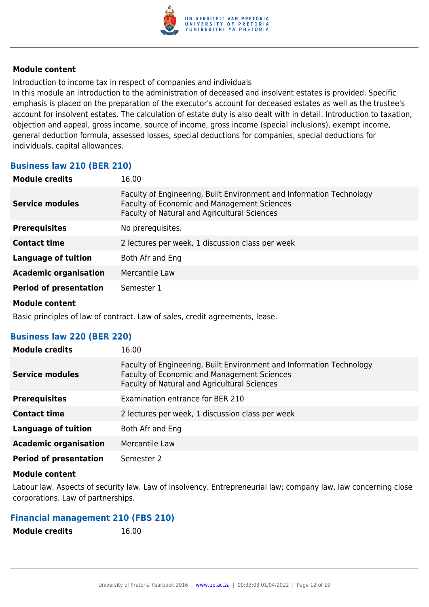

Introduction to income tax in respect of companies and individuals

In this module an introduction to the administration of deceased and insolvent estates is provided. Specific emphasis is placed on the preparation of the executor's account for deceased estates as well as the trustee's account for insolvent estates. The calculation of estate duty is also dealt with in detail. Introduction to taxation, objection and appeal, gross income, source of income, gross income (special inclusions), exempt income, general deduction formula, assessed losses, special deductions for companies, special deductions for individuals, capital allowances.

#### **Business law 210 (BER 210)**

| <b>Module credits</b>         | 16.00                                                                                                                                                               |
|-------------------------------|---------------------------------------------------------------------------------------------------------------------------------------------------------------------|
| <b>Service modules</b>        | Faculty of Engineering, Built Environment and Information Technology<br>Faculty of Economic and Management Sciences<br>Faculty of Natural and Agricultural Sciences |
| <b>Prerequisites</b>          | No prerequisites.                                                                                                                                                   |
| <b>Contact time</b>           | 2 lectures per week, 1 discussion class per week                                                                                                                    |
| <b>Language of tuition</b>    | Both Afr and Eng                                                                                                                                                    |
| <b>Academic organisation</b>  | Mercantile Law                                                                                                                                                      |
| <b>Period of presentation</b> | Semester 1                                                                                                                                                          |
| <b>Module content</b>         |                                                                                                                                                                     |

Basic principles of law of contract. Law of sales, credit agreements, lease.

#### **Business law 220 (BER 220)**

| <b>Module credits</b>         | 16.00                                                                                                                                                                      |
|-------------------------------|----------------------------------------------------------------------------------------------------------------------------------------------------------------------------|
| <b>Service modules</b>        | Faculty of Engineering, Built Environment and Information Technology<br><b>Faculty of Economic and Management Sciences</b><br>Faculty of Natural and Agricultural Sciences |
| <b>Prerequisites</b>          | Examination entrance for BER 210                                                                                                                                           |
| <b>Contact time</b>           | 2 lectures per week, 1 discussion class per week                                                                                                                           |
| Language of tuition           | Both Afr and Eng                                                                                                                                                           |
| <b>Academic organisation</b>  | Mercantile Law                                                                                                                                                             |
| <b>Period of presentation</b> | Semester 2                                                                                                                                                                 |

#### **Module content**

Labour law. Aspects of security law. Law of insolvency. Entrepreneurial law; company law, law concerning close corporations. Law of partnerships.

#### **Financial management 210 (FBS 210)**

**Module credits** 16.00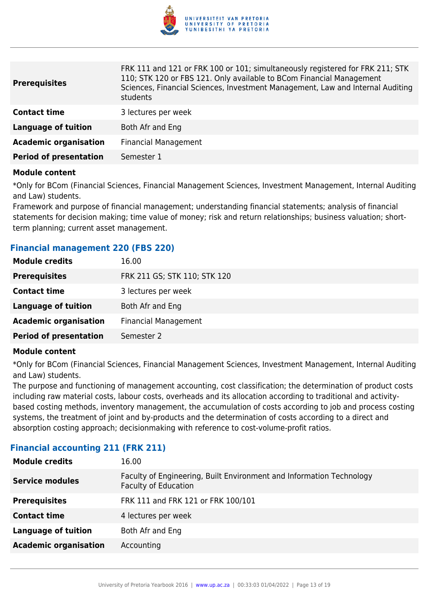

| <b>Prerequisites</b>          | FRK 111 and 121 or FRK 100 or 101; simultaneously registered for FRK 211; STK<br>110; STK 120 or FBS 121. Only available to BCom Financial Management<br>Sciences, Financial Sciences, Investment Management, Law and Internal Auditing<br>students |
|-------------------------------|-----------------------------------------------------------------------------------------------------------------------------------------------------------------------------------------------------------------------------------------------------|
| <b>Contact time</b>           | 3 lectures per week                                                                                                                                                                                                                                 |
| <b>Language of tuition</b>    | Both Afr and Eng                                                                                                                                                                                                                                    |
| <b>Academic organisation</b>  | <b>Financial Management</b>                                                                                                                                                                                                                         |
| <b>Period of presentation</b> | Semester 1                                                                                                                                                                                                                                          |
|                               |                                                                                                                                                                                                                                                     |

\*Only for BCom (Financial Sciences, Financial Management Sciences, Investment Management, Internal Auditing and Law) students.

Framework and purpose of financial management; understanding financial statements; analysis of financial statements for decision making; time value of money; risk and return relationships; business valuation; shortterm planning; current asset management.

#### **Financial management 220 (FBS 220)**

| <b>Module credits</b>         | 16.00                        |
|-------------------------------|------------------------------|
| <b>Prerequisites</b>          | FRK 211 GS; STK 110; STK 120 |
| <b>Contact time</b>           | 3 lectures per week          |
| <b>Language of tuition</b>    | Both Afr and Eng             |
| <b>Academic organisation</b>  | <b>Financial Management</b>  |
| <b>Period of presentation</b> | Semester 2                   |

#### **Module content**

\*Only for BCom (Financial Sciences, Financial Management Sciences, Investment Management, Internal Auditing and Law) students.

The purpose and functioning of management accounting, cost classification; the determination of product costs including raw material costs, labour costs, overheads and its allocation according to traditional and activitybased costing methods, inventory management, the accumulation of costs according to job and process costing systems, the treatment of joint and by-products and the determination of costs according to a direct and absorption costing approach; decisionmaking with reference to cost-volume-profit ratios.

| <b>Module credits</b>        | 16.00                                                                                               |
|------------------------------|-----------------------------------------------------------------------------------------------------|
| <b>Service modules</b>       | Faculty of Engineering, Built Environment and Information Technology<br><b>Faculty of Education</b> |
| <b>Prerequisites</b>         | FRK 111 and FRK 121 or FRK 100/101                                                                  |
| <b>Contact time</b>          | 4 lectures per week                                                                                 |
| <b>Language of tuition</b>   | Both Afr and Eng                                                                                    |
| <b>Academic organisation</b> | Accounting                                                                                          |

#### **Financial accounting 211 (FRK 211)**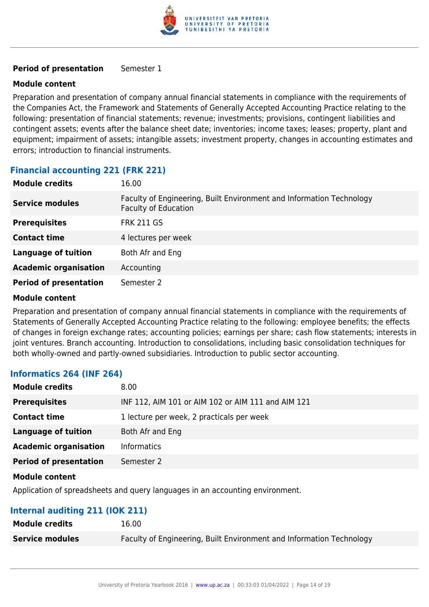

#### **Period of presentation** Semester 1

#### **Module content**

Preparation and presentation of company annual financial statements in compliance with the requirements of the Companies Act, the Framework and Statements of Generally Accepted Accounting Practice relating to the following: presentation of financial statements; revenue; investments; provisions, contingent liabilities and contingent assets; events after the balance sheet date; inventories; income taxes; leases; property, plant and equipment; impairment of assets; intangible assets; investment property, changes in accounting estimates and errors; introduction to financial instruments.

#### **Financial accounting 221 (FRK 221)**

| <b>Module credits</b>         | 16.00                                                                                               |
|-------------------------------|-----------------------------------------------------------------------------------------------------|
| <b>Service modules</b>        | Faculty of Engineering, Built Environment and Information Technology<br><b>Faculty of Education</b> |
| <b>Prerequisites</b>          | <b>FRK 211 GS</b>                                                                                   |
| <b>Contact time</b>           | 4 lectures per week                                                                                 |
| <b>Language of tuition</b>    | Both Afr and Eng                                                                                    |
| <b>Academic organisation</b>  | Accounting                                                                                          |
| <b>Period of presentation</b> | Semester 2                                                                                          |

#### **Module content**

Preparation and presentation of company annual financial statements in compliance with the requirements of Statements of Generally Accepted Accounting Practice relating to the following: employee benefits; the effects of changes in foreign exchange rates; accounting policies; earnings per share; cash flow statements; interests in joint ventures. Branch accounting. Introduction to consolidations, including basic consolidation techniques for both wholly-owned and partly-owned subsidiaries. Introduction to public sector accounting.

#### **Informatics 264 (INF 264)**

| <b>Module credits</b>         | 8.00                                               |
|-------------------------------|----------------------------------------------------|
| <b>Prerequisites</b>          | INF 112, AIM 101 or AIM 102 or AIM 111 and AIM 121 |
| <b>Contact time</b>           | 1 lecture per week, 2 practicals per week          |
| <b>Language of tuition</b>    | Both Afr and Eng                                   |
| <b>Academic organisation</b>  | <b>Informatics</b>                                 |
| <b>Period of presentation</b> | Semester 2                                         |
|                               |                                                    |

#### **Module content**

Application of spreadsheets and query languages in an accounting environment.

#### **Internal auditing 211 (IOK 211)**

| <b>Module credits</b>  | 16.00                                                                |
|------------------------|----------------------------------------------------------------------|
| <b>Service modules</b> | Faculty of Engineering, Built Environment and Information Technology |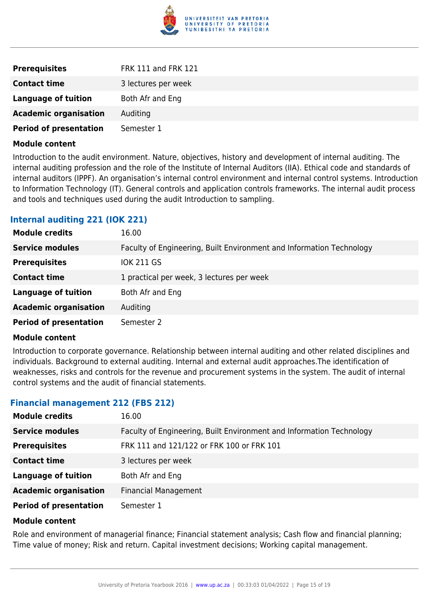

| <b>Prerequisites</b>          | <b>FRK 111 and FRK 121</b> |
|-------------------------------|----------------------------|
| <b>Contact time</b>           | 3 lectures per week        |
| Language of tuition           | Both Afr and Eng           |
| <b>Academic organisation</b>  | Auditing                   |
| <b>Period of presentation</b> | Semester 1                 |

Introduction to the audit environment. Nature, objectives, history and development of internal auditing. The internal auditing profession and the role of the Institute of Internal Auditors (IIA). Ethical code and standards of internal auditors (IPPF). An organisation's internal control environment and internal control systems. Introduction to Information Technology (IT). General controls and application controls frameworks. The internal audit process and tools and techniques used during the audit Introduction to sampling.

#### **Internal auditing 221 (IOK 221)**

| <b>Module credits</b>         | 16.00                                                                |
|-------------------------------|----------------------------------------------------------------------|
| <b>Service modules</b>        | Faculty of Engineering, Built Environment and Information Technology |
| <b>Prerequisites</b>          | <b>IOK 211 GS</b>                                                    |
| <b>Contact time</b>           | 1 practical per week, 3 lectures per week                            |
| <b>Language of tuition</b>    | Both Afr and Eng                                                     |
| <b>Academic organisation</b>  | Auditing                                                             |
| <b>Period of presentation</b> | Semester 2                                                           |

#### **Module content**

Introduction to corporate governance. Relationship between internal auditing and other related disciplines and individuals. Background to external auditing. Internal and external audit approaches.The identification of weaknesses, risks and controls for the revenue and procurement systems in the system. The audit of internal control systems and the audit of financial statements.

#### **Financial management 212 (FBS 212)**

| <b>Module credits</b>         | 16.00                                                                |
|-------------------------------|----------------------------------------------------------------------|
| <b>Service modules</b>        | Faculty of Engineering, Built Environment and Information Technology |
| <b>Prerequisites</b>          | FRK 111 and 121/122 or FRK 100 or FRK 101                            |
| <b>Contact time</b>           | 3 lectures per week                                                  |
| <b>Language of tuition</b>    | Both Afr and Eng                                                     |
| <b>Academic organisation</b>  | <b>Financial Management</b>                                          |
| <b>Period of presentation</b> | Semester 1                                                           |

#### **Module content**

Role and environment of managerial finance; Financial statement analysis; Cash flow and financial planning; Time value of money; Risk and return. Capital investment decisions; Working capital management.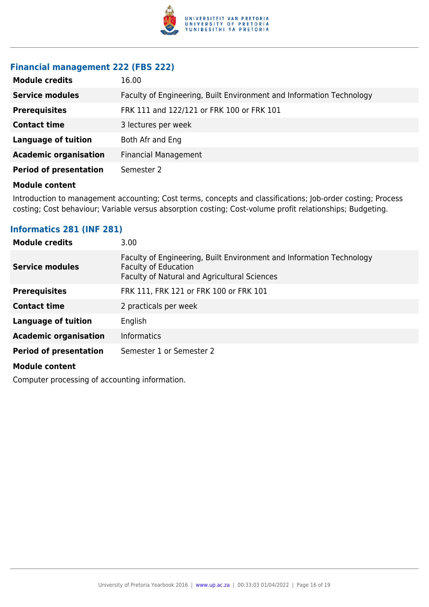

#### **Financial management 222 (FBS 222)**

| <b>Module credits</b>         | 16.00                                                                |
|-------------------------------|----------------------------------------------------------------------|
| <b>Service modules</b>        | Faculty of Engineering, Built Environment and Information Technology |
| <b>Prerequisites</b>          | FRK 111 and 122/121 or FRK 100 or FRK 101                            |
| <b>Contact time</b>           | 3 lectures per week                                                  |
| <b>Language of tuition</b>    | Both Afr and Eng                                                     |
| <b>Academic organisation</b>  | <b>Financial Management</b>                                          |
| <b>Period of presentation</b> | Semester 2                                                           |

#### **Module content**

Introduction to management accounting; Cost terms, concepts and classifications; Job-order costing; Process costing; Cost behaviour; Variable versus absorption costing; Cost-volume profit relationships; Budgeting.

#### **Informatics 281 (INF 281)**

| <b>Module credits</b>         | 3.00                                                                                                                                                |
|-------------------------------|-----------------------------------------------------------------------------------------------------------------------------------------------------|
| <b>Service modules</b>        | Faculty of Engineering, Built Environment and Information Technology<br><b>Faculty of Education</b><br>Faculty of Natural and Agricultural Sciences |
| <b>Prerequisites</b>          | FRK 111, FRK 121 or FRK 100 or FRK 101                                                                                                              |
| <b>Contact time</b>           | 2 practicals per week                                                                                                                               |
| <b>Language of tuition</b>    | English                                                                                                                                             |
| <b>Academic organisation</b>  | <b>Informatics</b>                                                                                                                                  |
| <b>Period of presentation</b> | Semester 1 or Semester 2                                                                                                                            |
| <b>Module content</b>         |                                                                                                                                                     |

Computer processing of accounting information.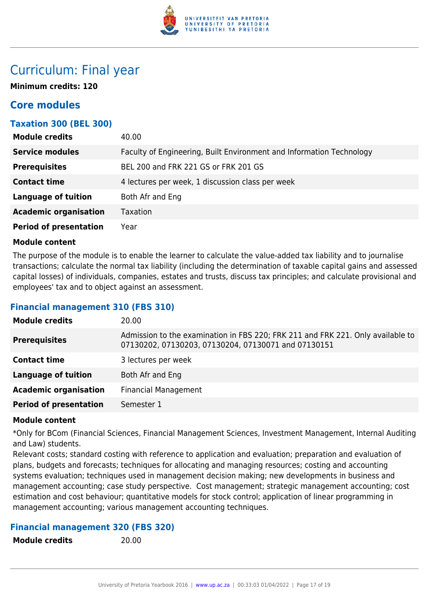

### Curriculum: Final year

**Minimum credits: 120**

### **Core modules**

#### **Taxation 300 (BEL 300)**

| <b>Module credits</b>         | 40.00                                                                |
|-------------------------------|----------------------------------------------------------------------|
| <b>Service modules</b>        | Faculty of Engineering, Built Environment and Information Technology |
| <b>Prerequisites</b>          | BEL 200 and FRK 221 GS or FRK 201 GS                                 |
| <b>Contact time</b>           | 4 lectures per week, 1 discussion class per week                     |
| <b>Language of tuition</b>    | Both Afr and Eng                                                     |
| <b>Academic organisation</b>  | <b>Taxation</b>                                                      |
| <b>Period of presentation</b> | Year                                                                 |

#### **Module content**

The purpose of the module is to enable the learner to calculate the value-added tax liability and to journalise transactions; calculate the normal tax liability (including the determination of taxable capital gains and assessed capital losses) of individuals, companies, estates and trusts, discuss tax principles; and calculate provisional and employees' tax and to object against an assessment.

#### **Financial management 310 (FBS 310)**

| <b>Module credits</b>         | 20.00                                                                                                                                  |
|-------------------------------|----------------------------------------------------------------------------------------------------------------------------------------|
| <b>Prerequisites</b>          | Admission to the examination in FBS 220; FRK 211 and FRK 221. Only available to<br>07130202, 07130203, 07130204, 07130071 and 07130151 |
| <b>Contact time</b>           | 3 lectures per week                                                                                                                    |
| <b>Language of tuition</b>    | Both Afr and Eng                                                                                                                       |
| <b>Academic organisation</b>  | <b>Financial Management</b>                                                                                                            |
| <b>Period of presentation</b> | Semester 1                                                                                                                             |
|                               |                                                                                                                                        |

#### **Module content**

\*Only for BCom (Financial Sciences, Financial Management Sciences, Investment Management, Internal Auditing and Law) students.

Relevant costs; standard costing with reference to application and evaluation; preparation and evaluation of plans, budgets and forecasts; techniques for allocating and managing resources; costing and accounting systems evaluation; techniques used in management decision making; new developments in business and management accounting; case study perspective. Cost management; strategic management accounting; cost estimation and cost behaviour; quantitative models for stock control; application of linear programming in management accounting; various management accounting techniques.

#### **Financial management 320 (FBS 320)**

**Module credits** 20.00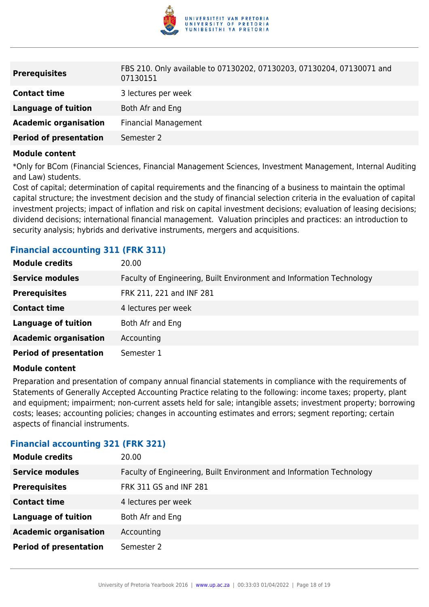

| <b>Prerequisites</b>          | FBS 210. Only available to 07130202, 07130203, 07130204, 07130071 and<br>07130151 |
|-------------------------------|-----------------------------------------------------------------------------------|
| <b>Contact time</b>           | 3 lectures per week                                                               |
| Language of tuition           | Both Afr and Eng                                                                  |
| <b>Academic organisation</b>  | <b>Financial Management</b>                                                       |
| <b>Period of presentation</b> | Semester 2                                                                        |

\*Only for BCom (Financial Sciences, Financial Management Sciences, Investment Management, Internal Auditing and Law) students.

Cost of capital; determination of capital requirements and the financing of a business to maintain the optimal capital structure; the investment decision and the study of financial selection criteria in the evaluation of capital investment projects; impact of inflation and risk on capital investment decisions; evaluation of leasing decisions; dividend decisions; international financial management. Valuation principles and practices: an introduction to security analysis; hybrids and derivative instruments, mergers and acquisitions.

| <b>Module credits</b>         | 20.00                                                                |
|-------------------------------|----------------------------------------------------------------------|
| <b>Service modules</b>        | Faculty of Engineering, Built Environment and Information Technology |
| <b>Prerequisites</b>          | FRK 211, 221 and INF 281                                             |
| <b>Contact time</b>           | 4 lectures per week                                                  |
| <b>Language of tuition</b>    | Both Afr and Eng                                                     |
| <b>Academic organisation</b>  | Accounting                                                           |
| <b>Period of presentation</b> | Semester 1                                                           |
|                               |                                                                      |

#### **Financial accounting 311 (FRK 311)**

#### **Module content**

Preparation and presentation of company annual financial statements in compliance with the requirements of Statements of Generally Accepted Accounting Practice relating to the following: income taxes; property, plant and equipment; impairment; non-current assets held for sale; intangible assets; investment property; borrowing costs; leases; accounting policies; changes in accounting estimates and errors; segment reporting; certain aspects of financial instruments.

#### **Financial accounting 321 (FRK 321)**

| <b>Module credits</b>         | 20.00                                                                |
|-------------------------------|----------------------------------------------------------------------|
| <b>Service modules</b>        | Faculty of Engineering, Built Environment and Information Technology |
| <b>Prerequisites</b>          | FRK 311 GS and INF 281                                               |
| <b>Contact time</b>           | 4 lectures per week                                                  |
| <b>Language of tuition</b>    | Both Afr and Eng                                                     |
| <b>Academic organisation</b>  | Accounting                                                           |
| <b>Period of presentation</b> | Semester 2                                                           |